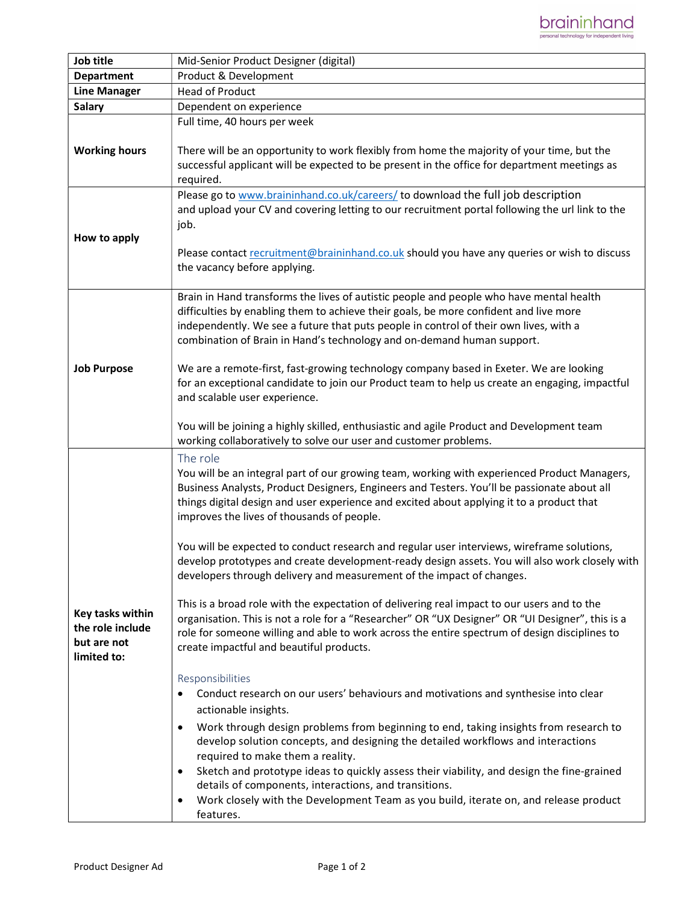

| Job title                                                          | Mid-Senior Product Designer (digital)                                                                                                                                                                                                                                                                                                                                                                                                                                                                                                                                                                                                                                                                                                                                                                                                                                                                                                                                                                                                                                                                                                                                                                                                                                                                                                                                                                                                                                                                                                                                                                                            |
|--------------------------------------------------------------------|----------------------------------------------------------------------------------------------------------------------------------------------------------------------------------------------------------------------------------------------------------------------------------------------------------------------------------------------------------------------------------------------------------------------------------------------------------------------------------------------------------------------------------------------------------------------------------------------------------------------------------------------------------------------------------------------------------------------------------------------------------------------------------------------------------------------------------------------------------------------------------------------------------------------------------------------------------------------------------------------------------------------------------------------------------------------------------------------------------------------------------------------------------------------------------------------------------------------------------------------------------------------------------------------------------------------------------------------------------------------------------------------------------------------------------------------------------------------------------------------------------------------------------------------------------------------------------------------------------------------------------|
| <b>Department</b>                                                  | Product & Development                                                                                                                                                                                                                                                                                                                                                                                                                                                                                                                                                                                                                                                                                                                                                                                                                                                                                                                                                                                                                                                                                                                                                                                                                                                                                                                                                                                                                                                                                                                                                                                                            |
| <b>Line Manager</b>                                                | <b>Head of Product</b>                                                                                                                                                                                                                                                                                                                                                                                                                                                                                                                                                                                                                                                                                                                                                                                                                                                                                                                                                                                                                                                                                                                                                                                                                                                                                                                                                                                                                                                                                                                                                                                                           |
| <b>Salary</b>                                                      | Dependent on experience                                                                                                                                                                                                                                                                                                                                                                                                                                                                                                                                                                                                                                                                                                                                                                                                                                                                                                                                                                                                                                                                                                                                                                                                                                                                                                                                                                                                                                                                                                                                                                                                          |
| <b>Working hours</b>                                               | Full time, 40 hours per week<br>There will be an opportunity to work flexibly from home the majority of your time, but the<br>successful applicant will be expected to be present in the office for department meetings as<br>required.                                                                                                                                                                                                                                                                                                                                                                                                                                                                                                                                                                                                                                                                                                                                                                                                                                                                                                                                                                                                                                                                                                                                                                                                                                                                                                                                                                                          |
| How to apply                                                       | Please go to www.braininhand.co.uk/careers/ to download the full job description<br>and upload your CV and covering letting to our recruitment portal following the url link to the<br>job.<br>Please contact recruitment@braininhand.co.uk should you have any queries or wish to discuss<br>the vacancy before applying.                                                                                                                                                                                                                                                                                                                                                                                                                                                                                                                                                                                                                                                                                                                                                                                                                                                                                                                                                                                                                                                                                                                                                                                                                                                                                                       |
| <b>Job Purpose</b>                                                 | Brain in Hand transforms the lives of autistic people and people who have mental health<br>difficulties by enabling them to achieve their goals, be more confident and live more<br>independently. We see a future that puts people in control of their own lives, with a<br>combination of Brain in Hand's technology and on-demand human support.<br>We are a remote-first, fast-growing technology company based in Exeter. We are looking<br>for an exceptional candidate to join our Product team to help us create an engaging, impactful<br>and scalable user experience.<br>You will be joining a highly skilled, enthusiastic and agile Product and Development team<br>working collaboratively to solve our user and customer problems.                                                                                                                                                                                                                                                                                                                                                                                                                                                                                                                                                                                                                                                                                                                                                                                                                                                                                |
| Key tasks within<br>the role include<br>but are not<br>limited to: | The role<br>You will be an integral part of our growing team, working with experienced Product Managers,<br>Business Analysts, Product Designers, Engineers and Testers. You'll be passionate about all<br>things digital design and user experience and excited about applying it to a product that<br>improves the lives of thousands of people.<br>You will be expected to conduct research and regular user interviews, wireframe solutions,<br>develop prototypes and create development-ready design assets. You will also work closely with<br>developers through delivery and measurement of the impact of changes.<br>This is a broad role with the expectation of delivering real impact to our users and to the<br>organisation. This is not a role for a "Researcher" OR "UX Designer" OR "UI Designer", this is a<br>role for someone willing and able to work across the entire spectrum of design disciplines to<br>create impactful and beautiful products.<br>Responsibilities<br>Conduct research on our users' behaviours and motivations and synthesise into clear<br>actionable insights.<br>Work through design problems from beginning to end, taking insights from research to<br>$\bullet$<br>develop solution concepts, and designing the detailed workflows and interactions<br>required to make them a reality.<br>Sketch and prototype ideas to quickly assess their viability, and design the fine-grained<br>$\bullet$<br>details of components, interactions, and transitions.<br>Work closely with the Development Team as you build, iterate on, and release product<br>$\bullet$<br>features. |